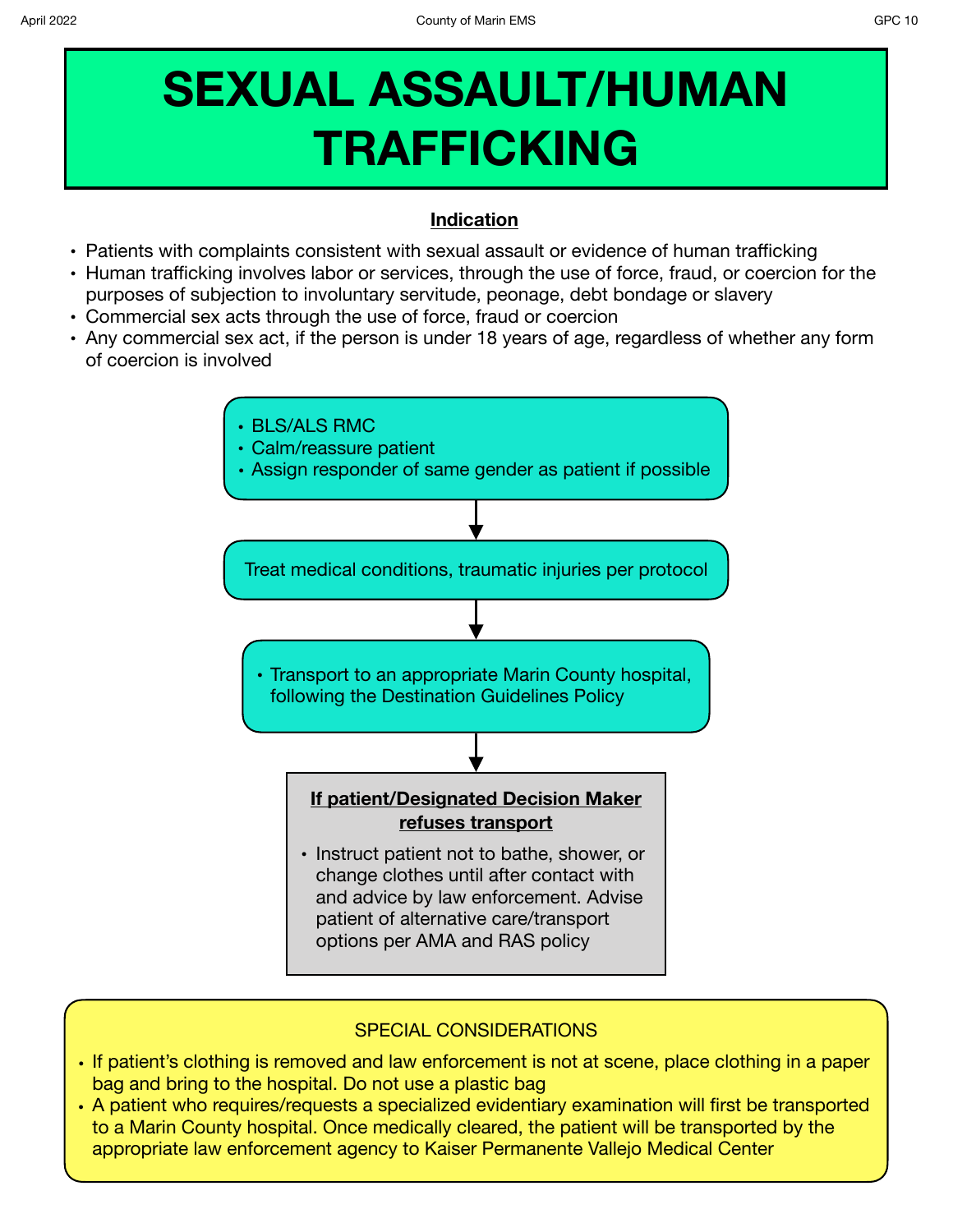## **SEXUAL ASSAULT/HUMAN TRAFFICKING**

## **Indication**

- **•** Patients with complaints consistent with sexual assault or evidence of human trafficking
- **•** Human trafficking involves labor or services, through the use of force, fraud, or coercion for the purposes of subjection to involuntary servitude, peonage, debt bondage or slavery
- **•** Commercial sex acts through the use of force, fraud or coercion
- **•** Any commercial sex act, if the person is under 18 years of age, regardless of whether any form of coercion is involved



## SPECIAL CONSIDERATIONS

- If patient's clothing is removed and law enforcement is not at scene, place clothing in a paper bag and bring to the hospital. Do not use a plastic bag
- **•** A patient who requires/requests a specialized evidentiary examination will first be transported to a Marin County hospital. Once medically cleared, the patient will be transported by the appropriate law enforcement agency to Kaiser Permanente Vallejo Medical Center